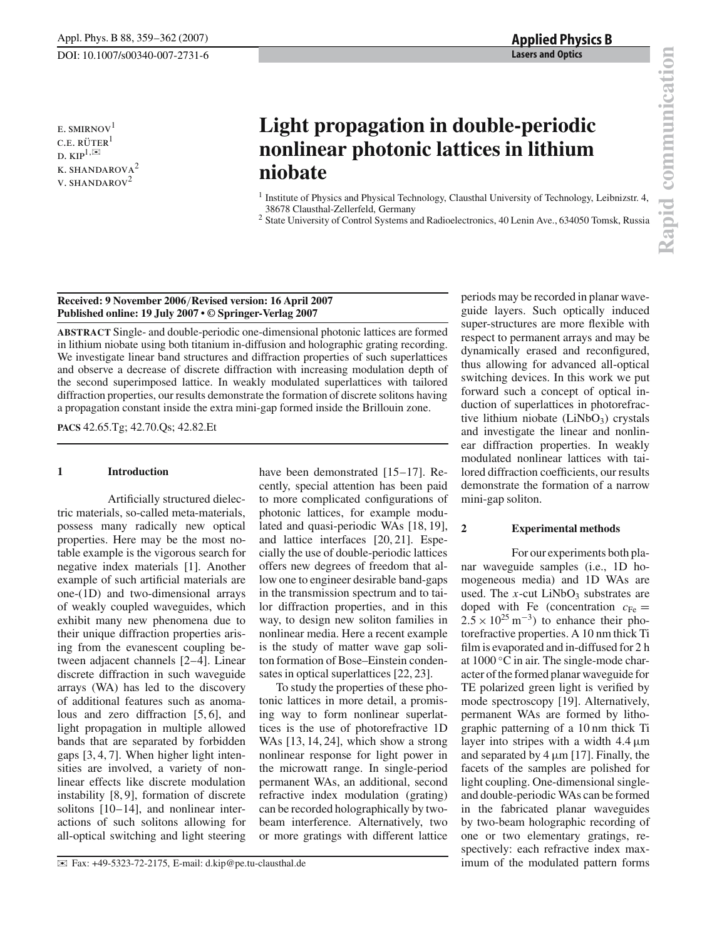periods may be recorded in planar waveguide layers. Such optically induced super-structures are more flexible with respect to permanent arrays and may be dynamically erased and reconfigured, thus allowing for advanced all-optical

E. SMIRNOV<sup>1</sup>  $C.E. RÜTER<sup>1</sup>$ D.  $\text{KIP}^{1,\boxtimes}$ k. shandarova<sup>2</sup> v. shandarov<sup>2</sup>

# **Light propagation in double-periodic nonlinear photonic lattices in lithium niobate**

- <sup>1</sup> Institute of Physics and Physical Technology, Clausthal University of Technology, Leibnizstr. 4, 38678 Clausthal-Zellerfeld, Germany
- <sup>2</sup> State University of Control Systems and Radioelectronics, 40 Lenin Ave., 634050 Tomsk, Russia

### **Received: 9 November 2006**/**Revised version: 16 April 2007 Published online: 19 July 2007 • © Springer-Verlag 2007**

**ABSTRACT** Single- and double-periodic one-dimensional photonic lattices are formed in lithium niobate using both titanium in-diffusion and holographic grating recording. We investigate linear band structures and diffraction properties of such superlattices and observe a decrease of discrete diffraction with increasing modulation depth of the second superimposed lattice. In weakly modulated superlattices with tailored diffraction properties, our results demonstrate the formation of discrete solitons having a propagation constant inside the extra mini-gap formed inside the Brillouin zone.

**PACS** 42.65.Tg; 42.70.Qs; 42.82.Et

## **1 Introduction**

Artificially structured dielectric materials, so-called meta-materials, possess many radically new optical properties. Here may be the most notable example is the vigorous search for negative index materials [1]. Another example of such artificial materials are one-(1D) and two-dimensional arrays of weakly coupled waveguides, which exhibit many new phenomena due to their unique diffraction properties arising from the evanescent coupling between adjacent channels [2–4]. Linear discrete diffraction in such waveguide arrays (WA) has led to the discovery of additional features such as anomalous and zero diffraction [5, 6], and light propagation in multiple allowed bands that are separated by forbidden gaps [3, 4, 7]. When higher light intensities are involved, a variety of nonlinear effects like discrete modulation instability [8, 9], formation of discrete solitons [10–14], and nonlinear interactions of such solitons allowing for all-optical switching and light steering

have been demonstrated [15–17]. Recently, special attention has been paid to more complicated configurations of photonic lattices, for example modulated and quasi-periodic WAs [18, 19], and lattice interfaces [20, 21]. Especially the use of double-periodic lattices offers new degrees of freedom that allow one to engineer desirable band-gaps in the transmission spectrum and to tailor diffraction properties, and in this way, to design new soliton families in nonlinear media. Here a recent example is the study of matter wave gap soliton formation of Bose–Einstein condensates in optical superlattices [22, 23].

To study the properties of these photonic lattices in more detail, a promising way to form nonlinear superlattices is the use of photorefractive 1D WAs [13, 14, 24], which show a strong nonlinear response for light power in the microwatt range. In single-period permanent WAs, an additional, second refractive index modulation (grating) can be recorded holographically by twobeam interference. Alternatively, two or more gratings with different lattice

switching devices. In this work we put forward such a concept of optical induction of superlattices in photorefractive lithium niobate  $(LiNbO<sub>3</sub>)$  crystals and investigate the linear and nonlinear diffraction properties. In weakly modulated nonlinear lattices with tailored diffraction coefficients, our results demonstrate the formation of a narrow mini-gap soliton. **2 Experimental methods** For our experiments both pla-

nar waveguide samples (i.e., 1D homogeneous media) and 1D WAs are used. The  $x$ -cut LiNbO<sub>3</sub> substrates are doped with Fe (concentration  $c_{\text{Fe}} =$  $2.5 \times 10^{25}$  m<sup>-3</sup>) to enhance their photorefractive properties. A 10 nm thick Ti film is evaporated and in-diffused for 2 h at 1000 ◦C in air. The single-mode character of the formed planar waveguide for TE polarized green light is verified by mode spectroscopy [19]. Alternatively, permanent WAs are formed by lithographic patterning of a 10 nm thick Ti layer into stripes with a width  $4.4 \mu m$ and separated by  $4 \mu m$  [17]. Finally, the facets of the samples are polished for light coupling. One-dimensional singleand double-periodic WAs can be formed in the fabricated planar waveguides by two-beam holographic recording of one or two elementary gratings, respectively: each refractive index maximum of the modulated pattern forms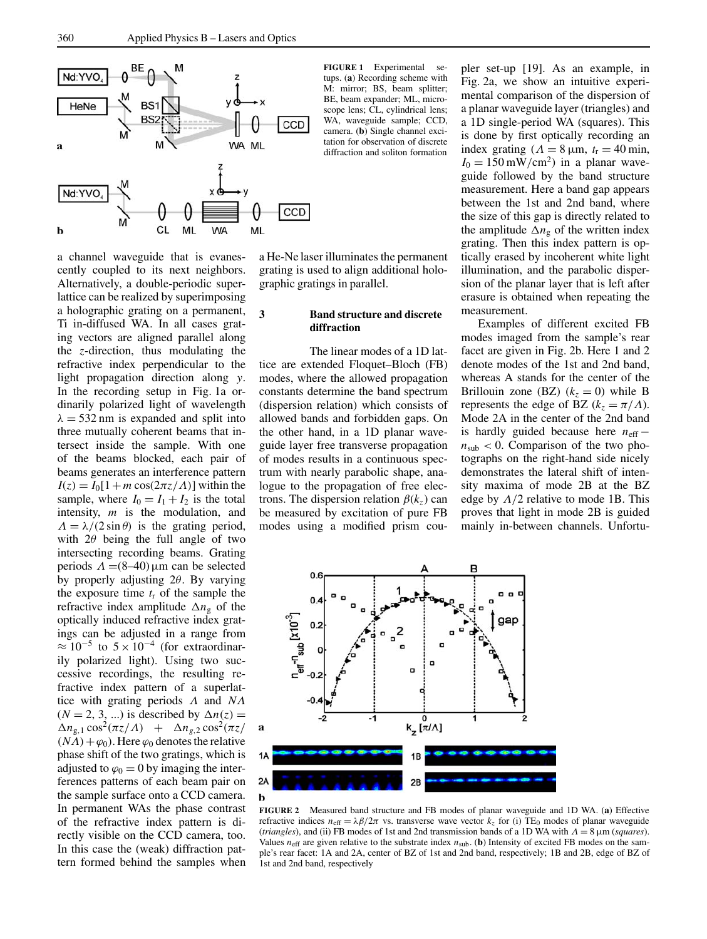

a channel waveguide that is evanescently coupled to its next neighbors. Alternatively, a double-periodic superlattice can be realized by superimposing a holographic grating on a permanent, Ti in-diffused WA. In all cases grating vectors are aligned parallel along the *z*-direction, thus modulating the refractive index perpendicular to the light propagation direction along *y*. In the recording setup in Fig. 1a ordinarily polarized light of wavelength  $\lambda = 532$  nm is expanded and split into three mutually coherent beams that intersect inside the sample. With one of the beams blocked, each pair of beams generates an interference pattern  $I(z) = I_0[1 + m \cos(2\pi z/\Lambda)]$  within the sample, where  $I_0 = I_1 + I_2$  is the total intensity, *m* is the modulation, and  $\Lambda = \lambda/(2 \sin \theta)$  is the grating period. with  $2\theta$  being the full angle of two intersecting recording beams. Grating periods  $Λ = (8-40)$ μm can be selected by properly adjusting 2θ. By varying the exposure time *t*<sup>r</sup> of the sample the refractive index amplitude ∆*n*<sup>g</sup> of the optically induced refractive index gratings can be adjusted in a range from  $\approx 10^{-5}$  to  $5 \times 10^{-4}$  (for extraordinarily polarized light). Using two successive recordings, the resulting refractive index pattern of a superlattice with grating periods Λ and *N*Λ  $(N = 2, 3, ...)$  is described by  $\Delta n(z) =$  $\Delta n_{g,1}$  cos<sup>2</sup>( $\pi z/\Lambda$ ) +  $\Delta n_{g,2}$  cos<sup>2</sup>( $\pi z/\Lambda$ )  $(N\Lambda)+\varphi_0$ ). Here  $\varphi_0$  denotes the relative phase shift of the two gratings, which is adjusted to  $\varphi_0 = 0$  by imaging the interferences patterns of each beam pair on the sample surface onto a CCD camera. In permanent WAs the phase contrast of the refractive index pattern is directly visible on the CCD camera, too. In this case the (weak) diffraction pattern formed behind the samples when

**FIGURE 1** Experimental setups. (**a**) Recording scheme with M: mirror; BS, beam splitter; BE, beam expander; ML, microscope lens; CL, cylindrical lens; WA, waveguide sample; CCD, camera. (**b**) Single channel excitation for observation of discrete diffraction and soliton formation

a He-Ne laser illuminates the permanent grating is used to align additional holographic gratings in parallel.

#### **3 Band structure and discrete diffraction**

The linear modes of a 1D lattice are extended Floquet–Bloch (FB) modes, where the allowed propagation constants determine the band spectrum (dispersion relation) which consists of allowed bands and forbidden gaps. On the other hand, in a 1D planar waveguide layer free transverse propagation of modes results in a continuous spectrum with nearly parabolic shape, analogue to the propagation of free electrons. The dispersion relation  $\beta(k_z)$  can be measured by excitation of pure FB modes using a modified prism coupler set-up [19]. As an example, in Fig. 2a, we show an intuitive experimental comparison of the dispersion of a planar waveguide layer (triangles) and a 1D single-period WA (squares). This is done by first optically recording an index grating ( $\Lambda = 8 \mu m$ ,  $t_r = 40 \text{ min}$ ,  $I_0 = 150$  mW/cm<sup>2</sup>) in a planar waveguide followed by the band structure measurement. Here a band gap appears between the 1st and 2nd band, where the size of this gap is directly related to the amplitude  $\Delta n_g$  of the written index grating. Then this index pattern is optically erased by incoherent white light illumination, and the parabolic dispersion of the planar layer that is left after erasure is obtained when repeating the measurement.

Examples of different excited FB modes imaged from the sample's rear facet are given in Fig. 2b. Here 1 and 2 denote modes of the 1st and 2nd band, whereas A stands for the center of the Brillouin zone (BZ)  $(k_z = 0)$  while B represents the edge of BZ  $(k_z = \pi/\Lambda)$ . Mode 2A in the center of the 2nd band is hardly guided because here *n*eff −  $n_{sub}$  < 0. Comparison of the two photographs on the right-hand side nicely demonstrates the lateral shift of intensity maxima of mode 2B at the BZ edge by  $\Lambda/2$  relative to mode 1B. This proves that light in mode 2B is guided mainly in-between channels. Unfortu-



**FIGURE 2** Measured band structure and FB modes of planar waveguide and 1D WA. (**a**) Effective refractive indices  $n_{\text{eff}} = \lambda \beta / 2\pi$  vs. transverse wave vector  $k_z$  for (i) TE<sub>0</sub> modes of planar waveguide (*triangles*), and (ii) FB modes of 1st and 2nd transmission bands of a 1D WA with  $\Lambda = 8 \mu m$  (*squares*). Values  $n_{\text{eff}}$  are given relative to the substrate index  $n_{\text{sub}}$ . (**b**) Intensity of excited FB modes on the sample's rear facet: 1A and 2A, center of BZ of 1st and 2nd band, respectively; 1B and 2B, edge of BZ of 1st and 2nd band, respectively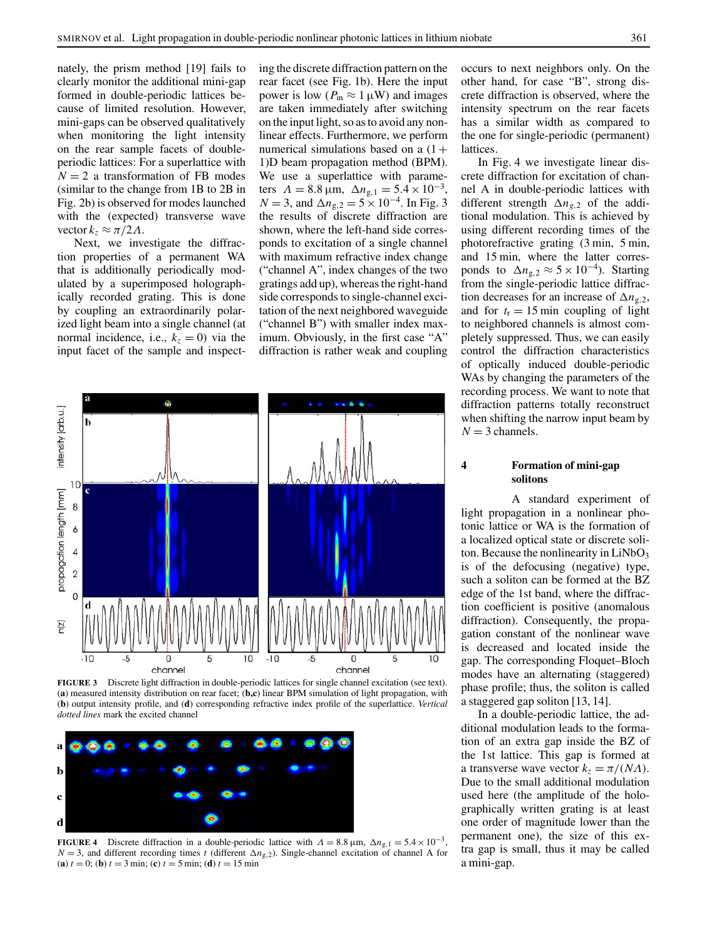nately, the prism method [19] fails to clearly monitor the additional mini-gap formed in double-periodic lattices because of limited resolution. However, mini-gaps can be observed qualitatively when monitoring the light intensity on the rear sample facets of doubleperiodic lattices: For a superlattice with  $N = 2$  a transformation of FB modes (similar to the change from 1B to 2B in Fig. 2b) is observed for modes launched with the (expected) transverse wave vector  $k_z \approx \pi/2\Lambda$ .

Next, we investigate the diffraction properties of a permanent WA that is additionally periodically modulated by a superimposed holographically recorded grating. This is done by coupling an extraordinarily polarized light beam into a single channel (at normal incidence, i.e.,  $k_z = 0$ ) via the input facet of the sample and inspect-

ing the discrete diffraction pattern on the rear facet (see Fig. 1b). Here the input power is low ( $P_{\text{in}} \approx 1 \,\mu\text{W}$ ) and images are taken immediately after switching on the input light, so as to avoid any nonlinear effects. Furthermore, we perform numerical simulations based on a  $(1 +$ 1)D beam propagation method (BPM). We use a superlattice with parameters  $\Lambda = 8.8 \,\mu\text{m}$ ,  $\Delta n_{\text{g},1} = 5.4 \times 10^{-3}$ , *N* = 3, and  $\Delta n_{g,2} = 5 \times 10^{-4}$ . In Fig. 3 the results of discrete diffraction are shown, where the left-hand side corresponds to excitation of a single channel with maximum refractive index change ("channel A", index changes of the two gratings add up), whereas the right-hand side corresponds to single-channel excitation of the next neighbored waveguide ("channel B") with smaller index maximum. Obviously, in the first case "A" diffraction is rather weak and coupling



**FIGURE 3** Discrete light diffraction in double-periodic lattices for single channel excitation (see text). (**a**) measured intensity distribution on rear facet; (**b,c**) linear BPM simulation of light propagation, with (**b**) output intensity profile, and (**d**) corresponding refractive index profile of the superlattice. *Vertical dotted lines* mark the excited channel



**FIGURE 4** Discrete diffraction in a double-periodic lattice with  $\Lambda = 8.8 \,\mu\text{m}$ ,  $\Delta n_{g,1} = 5.4 \times 10^{-3}$ , *N* = 3, and different recording times *t* (different  $\Delta n_{g,2}$ ). Single-channel excitation of channel A for (**a**)  $t = 0$ ; (**b**)  $t = 3$  min; (**c**)  $t = 5$  min; (**d**)  $t = 15$  min

occurs to next neighbors only. On the other hand, for case "B", strong discrete diffraction is observed, where the intensity spectrum on the rear facets has a similar width as compared to the one for single-periodic (permanent) lattices.

In Fig. 4 we investigate linear discrete diffraction for excitation of channel A in double-periodic lattices with different strength ∆*ng*,<sup>2</sup> of the additional modulation. This is achieved by using different recording times of the photorefractive grating (3 min, 5 min, and 15 min, where the latter corresponds to  $\Delta n_{g,2} \approx 5 \times 10^{-4}$ ). Starting from the single-periodic lattice diffraction decreases for an increase of ∆*n*g,2, and for  $t_r = 15$  min coupling of light to neighbored channels is almost completely suppressed. Thus, we can easily control the diffraction characteristics of optically induced double-periodic WAs by changing the parameters of the recording process. We want to note that diffraction patterns totally reconstruct when shifting the narrow input beam by  $N = 3$  channels.

#### **4 Formation of mini-gap solitons**

A standard experiment of light propagation in a nonlinear photonic lattice or WA is the formation of a localized optical state or discrete soliton. Because the nonlinearity in  $LiNbO<sub>3</sub>$ is of the defocusing (negative) type, such a soliton can be formed at the BZ edge of the 1st band, where the diffraction coefficient is positive (anomalous diffraction). Consequently, the propagation constant of the nonlinear wave is decreased and located inside the gap. The corresponding Floquet–Bloch modes have an alternating (staggered) phase profile; thus, the soliton is called a staggered gap soliton [13, 14].

In a double-periodic lattice, the additional modulation leads to the formation of an extra gap inside the BZ of the 1st lattice. This gap is formed at a transverse wave vector  $k_z = \pi/(N\Lambda)$ . Due to the small additional modulation used here (the amplitude of the holographically written grating is at least one order of magnitude lower than the permanent one), the size of this extra gap is small, thus it may be called a mini-gap.